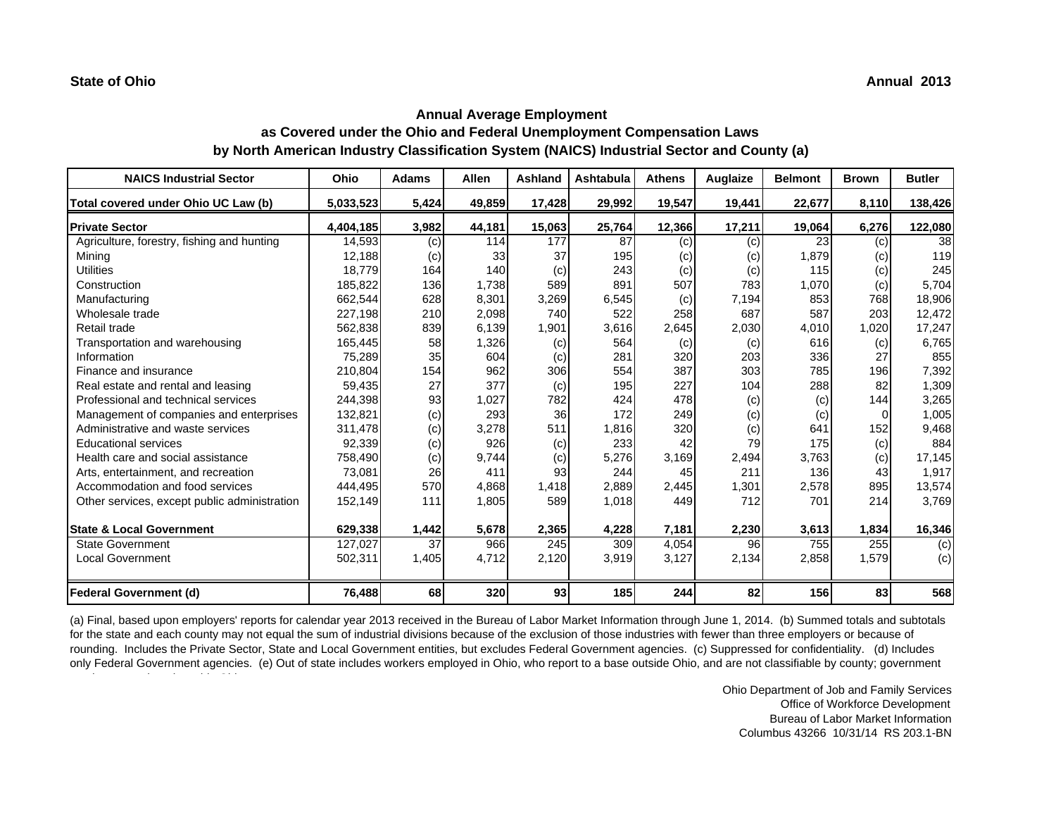l t ti d ti d ti d ti d ohi

# **Annual Average Employment as Covered under the Ohio and Federal Unemployment Compensation Laws by North American Industry Classification System (NAICS) Industrial Sector and County (a)**

| <b>NAICS Industrial Sector</b>               | <b>Ohio</b> | <b>Adams</b> | Allen  | Ashland | Ashtabula  | <b>Athens</b> | Auglaize | <b>Belmont</b> | <b>Brown</b> | <b>Butler</b> |
|----------------------------------------------|-------------|--------------|--------|---------|------------|---------------|----------|----------------|--------------|---------------|
| Total covered under Ohio UC Law (b)          | 5,033,523   | 5,424        | 49,859 | 17,428  | 29,992     | 19,547        | 19,441   | 22,677         | 8,110        | 138,426       |
| <b>Private Sector</b>                        | 4,404,185   | 3,982        | 44,181 | 15,063  | 25,764     | 12,366        | 17,211   | 19,064         | 6,276        | 122,080       |
| Agriculture, forestry, fishing and hunting   | 14,593      | (c)          | 114    | 177     | 87         | (c)           | (c)      | 23             | (c)          | 38            |
| Minina                                       | 12.188      | (c)          | 33     | 37      | 195        | (c)           | (c)      | 1,879          | (c)          | 119           |
| <b>Utilities</b>                             | 18,779      | 164          | 140    | (c)     | 243        | (c)           | (c)      | 115            | (c)          | 245           |
| Construction                                 | 185.822     | 136          | 1.738  | 589     | 891        | 507           | 783      | 1,070          | (c)          | 5,704         |
| Manufacturing                                | 662.544     | 628          | 8,301  | 3,269   | 6,545      | (c)           | 7,194    | 853            | 768          | 18,906        |
| Wholesale trade                              | 227.198     | 210          | 2,098  | 740     | 522        | 258           | 687      | 587            | 203          | 12,472        |
| Retail trade                                 | 562,838     | 839          | 6,139  | 1,901   | 3,616      | 2,645         | 2,030    | 4,010          | 1,020        | 17,247        |
| Transportation and warehousing               | 165,445     | 58           | 1,326  | (c)     | 564        | (c)           | (c)      | 616            | (c)          | 6,765         |
| Information                                  | 75,289      | 35           | 604    | (c)     | 281        | 320           | 203      | 336            | 27           | 855           |
| Finance and insurance                        | 210.804     | 154          | 962    | 306     | 554        | 387           | 303      | 785            | 196          | 7,392         |
| Real estate and rental and leasing           | 59,435      | 27           | 377    | (c)     | 195        | 227           | 104      | 288            | 82           | 1,309         |
| Professional and technical services          | 244,398     | 93           | 1.027  | 782     | 424        | 478           | (c)      | (c)            | 144          | 3,265         |
| Management of companies and enterprises      | 132,821     | (c)          | 293    | 36      | 172        | 249           | (c)      | (c)            | $\Omega$     | 1,005         |
| Administrative and waste services            | 311,478     | (c)          | 3,278  | 511     | 1,816      | 320           | (c)      | 641            | 152          | 9,468         |
| <b>Educational services</b>                  | 92,339      | (c)          | 926    | (c)     | 233        | 42            | 79       | 175            | (c)          | 884           |
| Health care and social assistance            | 758,490     | (c)          | 9,744  | (c)     | 5,276      | 3,169         | 2,494    | 3,763          | (c)          | 17,145        |
| Arts, entertainment, and recreation          | 73,081      | 26           | 411    | 93      | 244        | 45            | 211      | 136            | 43           | 1,917         |
| Accommodation and food services              | 444,495     | 570          | 4.868  | 1,418   | 2.889      | 2,445         | 1,301    | 2,578          | 895          | 13,574        |
| Other services, except public administration | 152,149     | 111          | 1,805  | 589     | 1,018      | 449           | 712      | 701            | 214          | 3,769         |
| <b>State &amp; Local Government</b>          | 629,338     | 1,442        | 5,678  | 2,365   | 4,228      | 7,181         | 2,230    | 3,613          | 1,834        | 16,346        |
| <b>State Government</b>                      | 127,027     | 37           | 966    | 245     | 309        | 4,054         | 96       | 755            | 255          | (c)           |
| <b>Local Government</b>                      | 502,311     | 1,405        | 4,712  | 2,120   | 3,919      | 3,127         | 2,134    | 2,858          | 1,579        | (c)           |
| <b>Federal Government (d)</b>                | 76,488      | 68           | 320    | 93      | <b>185</b> | 244           | 82       | 156            | 83           | 568           |

(a) Final, based upon employers' reports for calendar year 2013 received in the Bureau of Labor Market Information through June 1, 2014. (b) Summed totals and subtotals for the state and each county may not equal the sum of industrial divisions because of the exclusion of those industries with fewer than three employers or because of rounding. Includes the Private Sector, State and Local Government entities, but excludes Federal Government agencies. (c) Suppressed for confidentiality. (d) Includes only Federal Government agencies. (e) Out of state includes workers employed in Ohio, who report to a base outside Ohio, and are not classifiable by county; government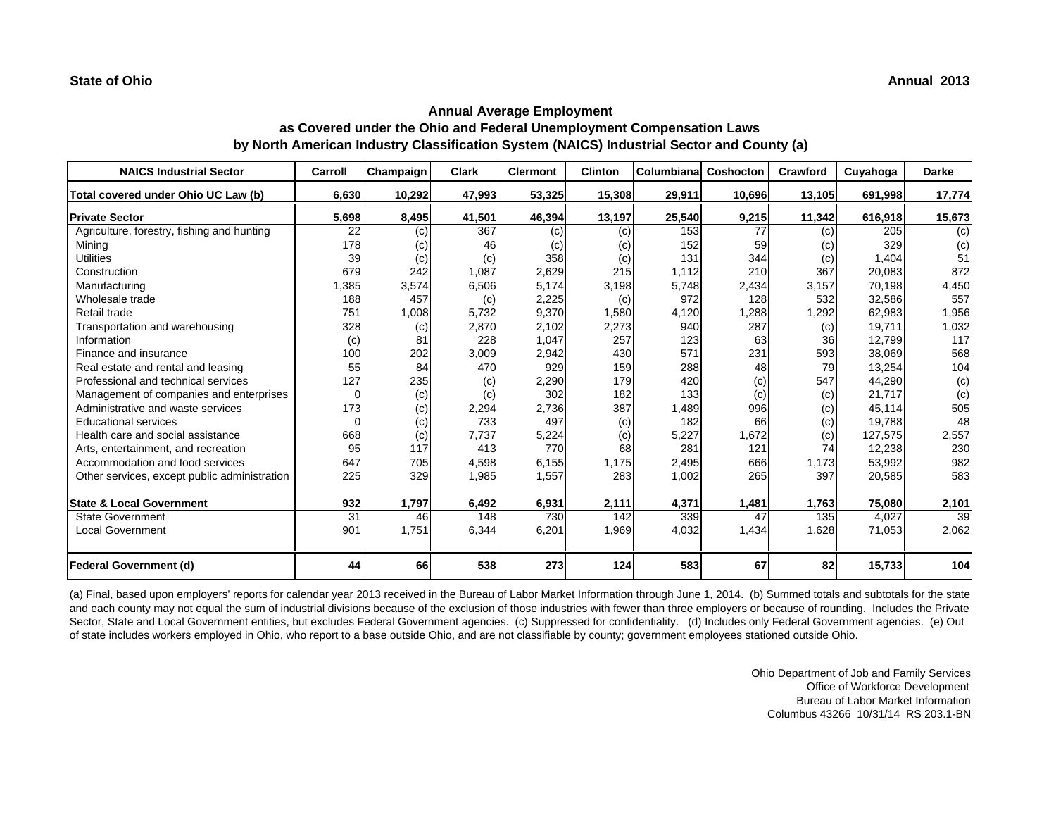| <b>NAICS Industrial Sector</b>               | Carroll | Champaign | <b>Clark</b> | <b>Clermont</b> | <b>Clinton</b> | Columbiana | Coshocton | Crawford | Cuyahoga | <b>Darke</b> |
|----------------------------------------------|---------|-----------|--------------|-----------------|----------------|------------|-----------|----------|----------|--------------|
| Total covered under Ohio UC Law (b)          | 6,630   | 10,292    | 47,993       | 53,325          | 15,308         | 29,911     | 10,696    | 13,105   | 691,998  | 17,774       |
| <b>Private Sector</b>                        | 5,698   | 8,495     | 41,501       | 46,394          | 13,197         | 25,540     | 9,215     | 11,342   | 616,918  | 15,673       |
| Agriculture, forestry, fishing and hunting   | 22      | (c)       | 367          | (c)             | (c)            | 153        | 77        | (c)      | 205      | (c)          |
| Mining                                       | 178     | (c)       | 46           | (c)             | (c)            | 152        | 59        | (c)      | 329      | (c)          |
| <b>Utilities</b>                             | 39      | (c)       | (c)          | 358             | (c)            | 131        | 344       | (c)      | 1.404    | 51           |
| Construction                                 | 679     | 242       | 1,087        | 2,629           | 215            | 1,112      | 210       | 367      | 20,083   | 872          |
| Manufacturing                                | 1,385   | 3,574     | 6,506        | 5,174           | 3,198          | 5,748      | 2,434     | 3,157    | 70,198   | 4,450        |
| Wholesale trade                              | 188     | 457       | (c)          | 2,225           | (c)            | 972        | 128       | 532      | 32,586   | 557          |
| Retail trade                                 | 751     | 1,008     | 5,732        | 9,370           | 1,580          | 4,120      | 1,288     | 1,292    | 62,983   | 1,956        |
| Transportation and warehousing               | 328     | (c)       | 2,870        | 2,102           | 2,273          | 940        | 287       | (c)      | 19,711   | 1,032        |
| Information                                  | (c)     | 81        | 228          | 1,047           | 257            | 123        | 63        | 36       | 12,799   | 117          |
| Finance and insurance                        | 100     | 202       | 3,009        | 2,942           | 430            | 571        | 231       | 593      | 38,069   | 568          |
| Real estate and rental and leasing           | 55      | 84        | 470          | 929             | 159            | 288        | 48        | 79       | 13,254   | 104          |
| Professional and technical services          | 127     | 235       | (c)          | 2,290           | 179            | 420        | (c)       | 547      | 44,290   | (c)          |
| Management of companies and enterprises      |         | (c)       | (c)          | 302             | 182            | 133        | (c)       | (c)      | 21,717   | (c)          |
| Administrative and waste services            | 173     | (c)       | 2,294        | 2,736           | 387            | 1,489      | 996       | (c)      | 45.114   | 505          |
| <b>Educational services</b>                  |         | (c)       | 733          | 497             | (c)            | 182        | 66        | (c)      | 19,788   | 48           |
| Health care and social assistance            | 668     | (c)       | 7,737        | 5,224           | (c)            | 5,227      | 1,672     | (c)      | 127,575  | 2,557        |
| Arts, entertainment, and recreation          | 95      | 117       | 413          | 770             | 68             | 281        | 121       | 74       | 12,238   | 230          |
| Accommodation and food services              | 647     | 705       | 4,598        | 6,155           | 1,175          | 2,495      | 666       | 1,173    | 53,992   | 982          |
| Other services, except public administration | 225     | 329       | 1,985        | 1,557           | 283            | 1,002      | 265       | 397      | 20,585   | 583          |
| <b>State &amp; Local Government</b>          | 932     | 1.797     | 6,492        | 6,931           | 2,111          | 4,371      | 1,481     | 1,763    | 75,080   | 2,101        |
| <b>State Government</b>                      | 31      | 46        | 148          | 730             | 142            | 339        | 47        | 135      | 4,027    | 39           |
| <b>Local Government</b>                      | 901     | 1,751     | 6,344        | 6,201           | 1,969          | 4,032      | 1,434     | 1,628    | 71,053   | 2,062        |
| <b>Federal Government (d)</b>                | 44      | 66        | 538          | 273             | 124            | 583        | 67        | 82       | 15,733   | 104          |

(a) Final, based upon employers' reports for calendar year 2013 received in the Bureau of Labor Market Information through June 1, 2014. (b) Summed totals and subtotals for the state and each county may not equal the sum of industrial divisions because of the exclusion of those industries with fewer than three employers or because of rounding. Includes the Private Sector, State and Local Government entities, but excludes Federal Government agencies. (c) Suppressed for confidentiality. (d) Includes only Federal Government agencies. (e) Out of state includes workers employed in Ohio, who report to a base outside Ohio, and are not classifiable by county; government employees stationed outside Ohio.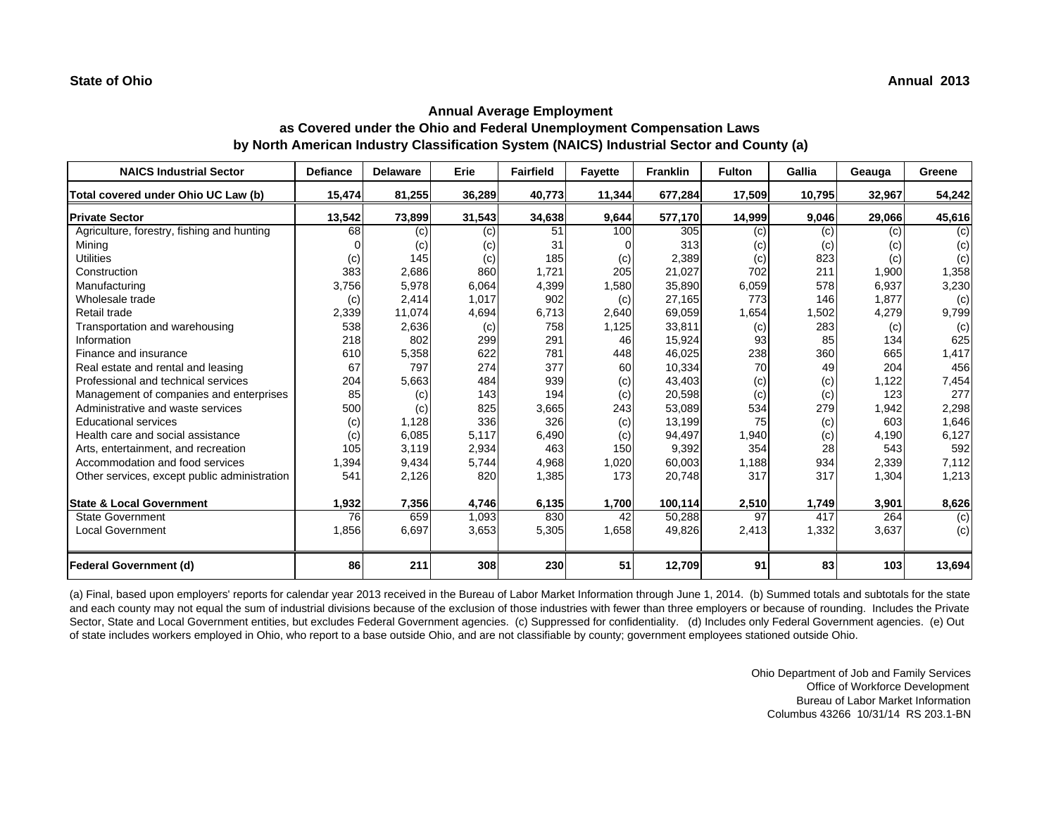| <b>NAICS Industrial Sector</b>               | <b>Defiance</b> | <b>Delaware</b> | Erie   | <b>Fairfield</b> | <b>Fayette</b> | <b>Franklin</b> | <b>Fulton</b> | Gallia | Geauga | Greene |
|----------------------------------------------|-----------------|-----------------|--------|------------------|----------------|-----------------|---------------|--------|--------|--------|
| Total covered under Ohio UC Law (b)          | 15,474          | 81,255          | 36,289 | 40,773           | 11,344         | 677,284         | 17,509        | 10,795 | 32,967 | 54,242 |
| <b>Private Sector</b>                        | 13,542          | 73,899          | 31,543 | 34,638           | 9,644          | 577,170         | 14,999        | 9,046  | 29,066 | 45,616 |
| Agriculture, forestry, fishing and hunting   | 68              | (c)             | (c)    | 51               | 100            | 305             | (c)           | (c)    | (c)    | (c)    |
| Mining                                       |                 | (c)             | (c)    | 31               | $\Omega$       | 313             | (c)           | (c)    | (c)    | (c)    |
| <b>Utilities</b>                             | (c)             | 145             | (c)    | 185              | (c)            | 2.389           | (c)           | 823    | (c)    | (c)    |
| Construction                                 | 383             | 2,686           | 860    | 1,721            | 205            | 21,027          | 702           | 211    | 1,900  | 1,358  |
| Manufacturing                                | 3,756           | 5,978           | 6,064  | 4,399            | 1,580          | 35,890          | 6,059         | 578    | 6,937  | 3,230  |
| Wholesale trade                              | (c)             | 2,414           | 1,017  | 902              | (c)            | 27,165          | 773           | 146    | 1,877  | (c)    |
| Retail trade                                 | 2,339           | 11,074          | 4,694  | 6,713            | 2,640          | 69,059          | 1,654         | 1,502  | 4,279  | 9,799  |
| Transportation and warehousing               | 538             | 2,636           | (c)    | 758              | 1,125          | 33,811          | (c)           | 283    | (c)    | (c)    |
| Information                                  | 218             | 802             | 299    | 291              | 46             | 15,924          | 93            | 85     | 134    | 625    |
| Finance and insurance                        | 610             | 5,358           | 622    | 781              | 448            | 46,025          | 238           | 360    | 665    | 1,417  |
| Real estate and rental and leasing           | 67              | 797             | 274    | 377              | 60             | 10,334          | 70            | 49     | 204    | 456    |
| Professional and technical services          | 204             | 5,663           | 484    | 939              | (c)            | 43,403          | (c)           | (c)    | 1,122  | 7,454  |
| Management of companies and enterprises      | 85              | (c)             | 143    | 194              | (c)            | 20,598          | (c)           | (c)    | 123    | 277    |
| Administrative and waste services            | 500             | (c)             | 825    | 3,665            | 243            | 53,089          | 534           | 279    | 1,942  | 2,298  |
| <b>Educational services</b>                  | (c)             | 1,128           | 336    | 326              | (c)            | 13,199          | 75            | (c)    | 603    | 1,646  |
| Health care and social assistance            | (c)             | 6,085           | 5,117  | 6,490            | (c)            | 94,497          | 1,940         | (c)    | 4,190  | 6,127  |
| Arts, entertainment, and recreation          | 105             | 3.119           | 2,934  | 463              | 150            | 9,392           | 354           | 28     | 543    | 592    |
| Accommodation and food services              | 1,394           | 9,434           | 5,744  | 4,968            | 1,020          | 60,003          | 1,188         | 934    | 2,339  | 7,112  |
| Other services, except public administration | 541             | 2,126           | 820    | 1,385            | 173            | 20,748          | 317           | 317    | 1,304  | 1,213  |
| <b>State &amp; Local Government</b>          | 1,932           | 7,356           | 4,746  | 6,135            | 1,700          | 100,114         | 2,510         | 1,749  | 3,901  | 8,626  |
| <b>State Government</b>                      | 76              | 659             | 1,093  | 830              | 42             | 50,288          | 97            | 417    | 264    | (c)    |
| Local Government                             | 1,856           | 6,697           | 3,653  | 5,305            | 1,658          | 49,826          | 2,413         | 1,332  | 3,637  | (c)    |
| <b>Federal Government (d)</b>                | 86              | 211             | 308    | 230              | 51             | 12,709          | 91            | 83     | 103    | 13,694 |

(a) Final, based upon employers' reports for calendar year 2013 received in the Bureau of Labor Market Information through June 1, 2014. (b) Summed totals and subtotals for the state and each county may not equal the sum of industrial divisions because of the exclusion of those industries with fewer than three employers or because of rounding. Includes the Private Sector, State and Local Government entities, but excludes Federal Government agencies. (c) Suppressed for confidentiality. (d) Includes only Federal Government agencies. (e) Out of state includes workers employed in Ohio, who report to a base outside Ohio, and are not classifiable by county; government employees stationed outside Ohio.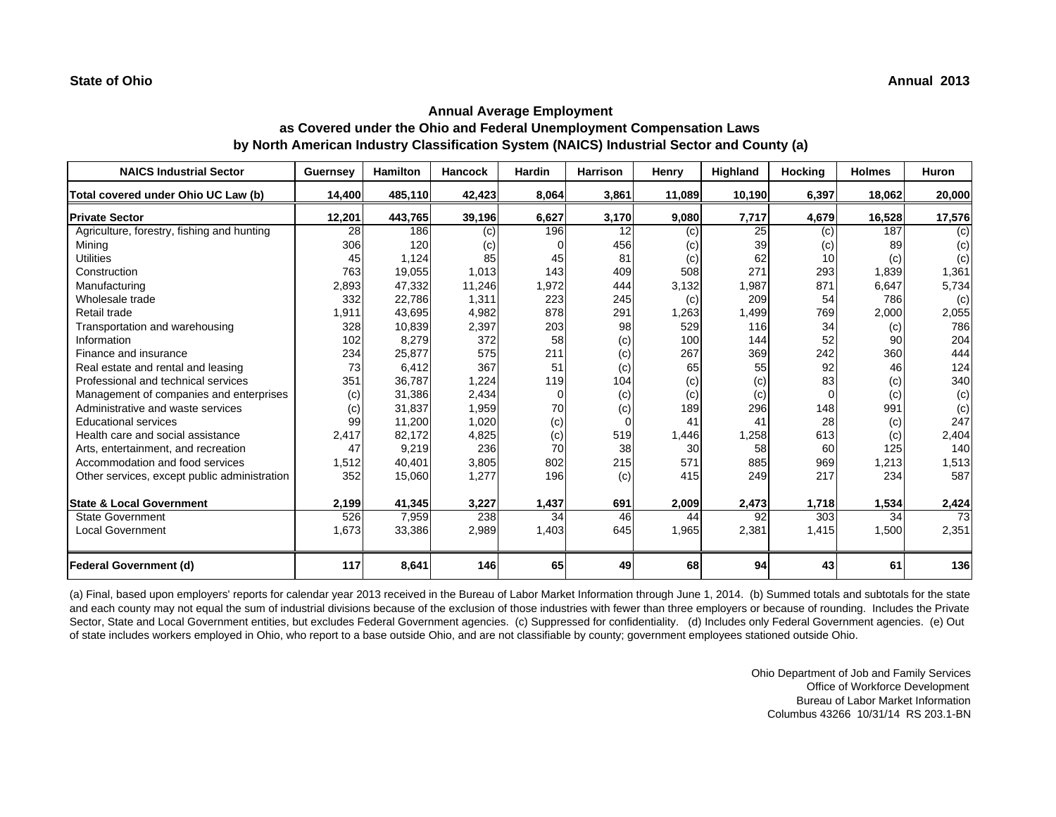| <b>NAICS Industrial Sector</b>               | <b>Guernsey</b> | <b>Hamilton</b> | <b>Hancock</b> | <b>Hardin</b> | Harrison | Henry  | Highland | <b>Hocking</b> | <b>Holmes</b> | Huron  |
|----------------------------------------------|-----------------|-----------------|----------------|---------------|----------|--------|----------|----------------|---------------|--------|
| Total covered under Ohio UC Law (b)          | 14,400          | 485,110         | 42,423         | 8,064         | 3,861    | 11,089 | 10,190   | 6,397          | 18,062        | 20,000 |
| <b>Private Sector</b>                        | 12,201          | 443,765         | 39,196         | 6,627         | 3,170    | 9,080  | 7,717    | 4,679          | 16,528        | 17,576 |
| Agriculture, forestry, fishing and hunting   | 28              | 186             | (c)            | 196           | 12       | (c)    | 25       | (c)            | 187           | (c)    |
| Mining                                       | 306             | 120             | (c)            |               | 456      | (c)    | 39       | (c)            | 89            | (c)    |
| <b>Utilities</b>                             | 45              | 1,124           | 85             | 45            | 81       | (c)    | 62       | 10             | (c)           | (c)    |
| Construction                                 | 763             | 19,055          | 1,013          | 143           | 409      | 508    | 271      | 293            | 1,839         | 1,361  |
| Manufacturing                                | 2,893           | 47,332          | 11,246         | 1,972         | 444      | 3,132  | 1,987    | 871            | 6,647         | 5,734  |
| Wholesale trade                              | 332             | 22,786          | 1,311          | 223           | 245      | (c)    | 209      | 54             | 786           | (c)    |
| Retail trade                                 | 1,911           | 43,695          | 4,982          | 878           | 291      | 1,263  | 1.499    | 769            | 2,000         | 2,055  |
| Transportation and warehousing               | 328             | 10,839          | 2,397          | 203           | 98       | 529    | 116      | 34             | (c)           | 786    |
| Information                                  | 102             | 8,279           | 372            | 58            | (c)      | 100    | 144      | 52             | 90            | 204    |
| Finance and insurance                        | 234             | 25,877          | 575            | 211           | (c)      | 267    | 369      | 242            | 360           | 444    |
| Real estate and rental and leasing           | 73              | 6.412           | 367            | 51            | (c)      | 65     | 55       | 92             | 46            | 124    |
| Professional and technical services          | 351             | 36.787          | 1,224          | 119           | 104      | (c)    | (c)      | 83             | (c)           | 340    |
| Management of companies and enterprises      | (c)             | 31,386          | 2,434          | 0             | (c)      | (c)    | (c)      | 0              | (c)           | (c)    |
| Administrative and waste services            | (c)             | 31,837          | 1,959          | 70            | (c)      | 189    | 296      | 148            | 991           | (c)    |
| <b>Educational services</b>                  | 99              | 11,200          | 1,020          | (c)           | $\Omega$ | 41     | 41       | 28             | (c)           | 247    |
| Health care and social assistance            | 2.417           | 82.172          | 4,825          | (c)           | 519      | 1,446  | 1,258    | 613            | (c)           | 2,404  |
| Arts, entertainment, and recreation          | 47              | 9,219           | 236            | 70            | 38       | 30     | 58       | 60             | 125           | 140    |
| Accommodation and food services              | 1,512           | 40,401          | 3,805          | 802           | 215      | 571    | 885      | 969            | 1,213         | 1,513  |
| Other services, except public administration | 352             | 15,060          | 1,277          | 196           | (c)      | 415    | 249      | 217            | 234           | 587    |
| <b>State &amp; Local Government</b>          | 2,199           | 41,345          | 3,227          | 1,437         | 691      | 2,009  | 2,473    | 1,718          | 1,534         | 2,424  |
| <b>State Government</b>                      | 526             | 7,959           | 238            | 34            | 46       | 44     | 92       | 303            | 34            | 73     |
| <b>Local Government</b>                      | 1,673           | 33,386          | 2,989          | 1,403         | 645      | 1,965  | 2,381    | 1,415          | 1,500         | 2,351  |
| <b>Federal Government (d)</b>                | 117             | 8,641           | 146            | 65            | 49       | 68     | 94       | 43             | 61            | 136    |

(a) Final, based upon employers' reports for calendar year 2013 received in the Bureau of Labor Market Information through June 1, 2014. (b) Summed totals and subtotals for the state and each county may not equal the sum of industrial divisions because of the exclusion of those industries with fewer than three employers or because of rounding. Includes the Private Sector, State and Local Government entities, but excludes Federal Government agencies. (c) Suppressed for confidentiality. (d) Includes only Federal Government agencies. (e) Out of state includes workers employed in Ohio, who report to a base outside Ohio, and are not classifiable by county; government employees stationed outside Ohio.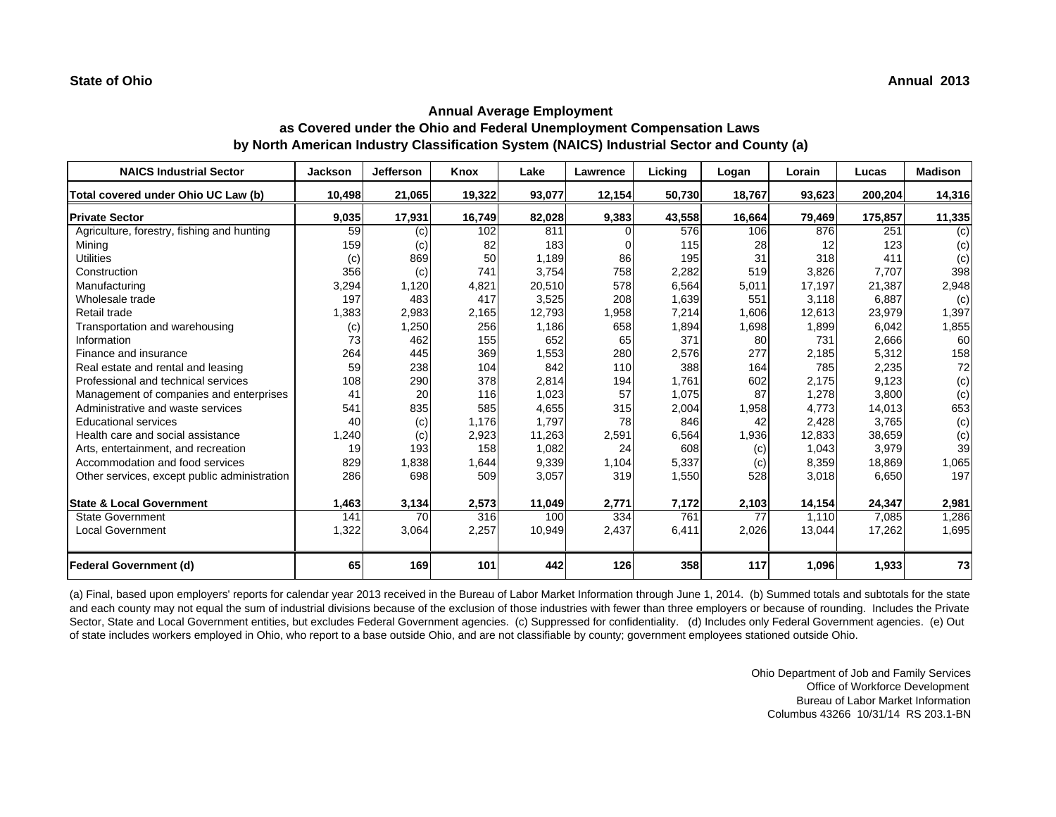| <b>NAICS Industrial Sector</b>               | <b>Jackson</b> | <b>Jefferson</b> | Knox   | Lake   | Lawrence | <b>Licking</b> | Logan  | Lorain | Lucas   | <b>Madison</b> |
|----------------------------------------------|----------------|------------------|--------|--------|----------|----------------|--------|--------|---------|----------------|
| Total covered under Ohio UC Law (b)          | 10,498         | 21,065           | 19,322 | 93,077 | 12,154   | 50,730         | 18,767 | 93,623 | 200,204 | 14,316         |
| <b>Private Sector</b>                        | 9,035          | 17,931           | 16,749 | 82,028 | 9,383    | 43,558         | 16,664 | 79,469 | 175,857 | 11,335         |
| Agriculture, forestry, fishing and hunting   | 59             | (c)              | 102    | 811    | $\Omega$ | 576            | 106    | 876    | 251     | (c)            |
| Mining                                       | 159            | (c)              | 82     | 183    | $\Omega$ | 115            | 28     | 12     | 123     | (c)            |
| <b>Utilities</b>                             | (c)            | 869              | 50     | 1,189  | 86       | 195            | 31     | 318    | 411     | (c)            |
| Construction                                 | 356            | (c)              | 741    | 3.754  | 758      | 2,282          | 519    | 3,826  | 7.707   | 398            |
| Manufacturing                                | 3,294          | 1,120            | 4,821  | 20,510 | 578      | 6,564          | 5,011  | 17,197 | 21,387  | 2,948          |
| Wholesale trade                              | 197            | 483              | 417    | 3,525  | 208      | 1,639          | 551    | 3,118  | 6,887   | (c)            |
| Retail trade                                 | 1,383          | 2,983            | 2,165  | 12,793 | 1,958    | 7,214          | 1,606  | 12,613 | 23,979  | 1,397          |
| Transportation and warehousing               | (c)            | 1,250            | 256    | 1,186  | 658      | 1,894          | 1,698  | 1,899  | 6,042   | 1,855          |
| Information                                  | 73             | 462              | 155    | 652    | 65       | 371            | 80     | 731    | 2,666   | 60             |
| Finance and insurance                        | 264            | 445              | 369    | 1,553  | 280      | 2,576          | 277    | 2,185  | 5,312   | 158            |
| Real estate and rental and leasing           | 59             | 238              | 104    | 842    | 110      | 388            | 164    | 785    | 2,235   | 72             |
| Professional and technical services          | 108            | 290              | 378    | 2,814  | 194      | 1,761          | 602    | 2,175  | 9,123   | (c)            |
| Management of companies and enterprises      | 41             | 20               | 116    | 1,023  | 57       | 1,075          | 87     | 1,278  | 3,800   | (c)            |
| Administrative and waste services            | 541            | 835              | 585    | 4,655  | 315      | 2,004          | 1,958  | 4.773  | 14,013  | 653            |
| <b>Educational services</b>                  | 40             | (c)              | 1,176  | 1,797  | 78       | 846            | 42     | 2,428  | 3,765   | (c)            |
| Health care and social assistance            | 1,240          | (c)              | 2,923  | 11,263 | 2,591    | 6,564          | 1,936  | 12,833 | 38,659  | (c)            |
| Arts, entertainment, and recreation          | 19             | 193              | 158    | 1,082  | 24       | 608            | (c)    | 1.043  | 3,979   | 39             |
| Accommodation and food services              | 829            | 1,838            | 1,644  | 9,339  | 1,104    | 5,337          | (c)    | 8,359  | 18,869  | 1,065          |
| Other services, except public administration | 286            | 698              | 509    | 3,057  | 319      | 1,550          | 528    | 3,018  | 6,650   | 197            |
| <b>State &amp; Local Government</b>          | 1,463          | 3,134            | 2,573  | 11,049 | 2,771    | 7,172          | 2,103  | 14,154 | 24,347  | 2,981          |
| <b>State Government</b>                      | 141            | 70               | 316    | 100    | 334      | 761            | 77     | 1.110  | 7,085   | 1,286          |
| <b>Local Government</b>                      | 1,322          | 3,064            | 2,257  | 10,949 | 2,437    | 6,411          | 2,026  | 13,044 | 17,262  | 1,695          |
| <b>Federal Government (d)</b>                | 65             | 169              | 101    | 442    | 126      | 358            | 117    | 1,096  | 1,933   | 73             |

(a) Final, based upon employers' reports for calendar year 2013 received in the Bureau of Labor Market Information through June 1, 2014. (b) Summed totals and subtotals for the state and each county may not equal the sum of industrial divisions because of the exclusion of those industries with fewer than three employers or because of rounding. Includes the Private Sector, State and Local Government entities, but excludes Federal Government agencies. (c) Suppressed for confidentiality. (d) Includes only Federal Government agencies. (e) Out of state includes workers employed in Ohio, who report to a base outside Ohio, and are not classifiable by county; government employees stationed outside Ohio.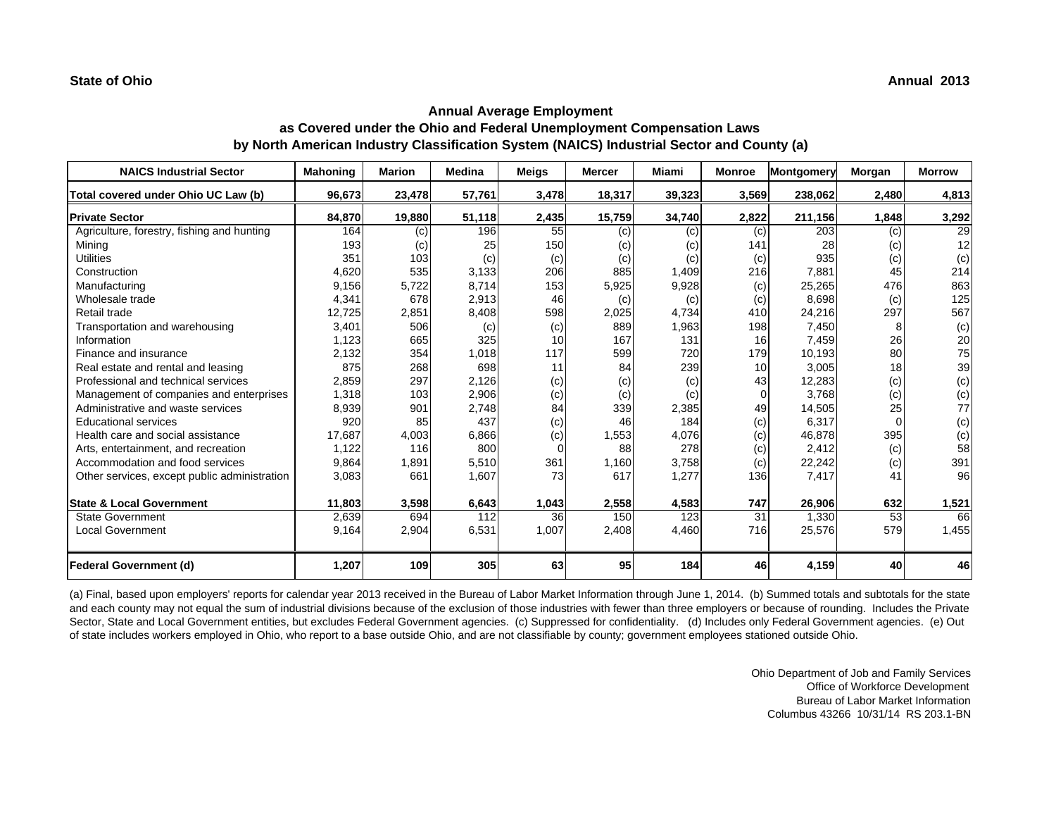| <b>NAICS Industrial Sector</b>               | <b>Mahoning</b> | <b>Marion</b> | Medina | <b>Meigs</b> | <b>Mercer</b> | Miami  | <b>Monroe</b>   | <b>Montgomery</b> | Morgan   | <b>Morrow</b> |
|----------------------------------------------|-----------------|---------------|--------|--------------|---------------|--------|-----------------|-------------------|----------|---------------|
| Total covered under Ohio UC Law (b)          | 96,673          | 23,478        | 57,761 | 3,478        | 18,317        | 39,323 | 3,569           | 238,062           | 2,480    | 4,813         |
| <b>Private Sector</b>                        | 84,870          | 19,880        | 51,118 | 2,435        | 15,759        | 34,740 | 2,822           | 211,156           | 1,848    | 3,292         |
| Agriculture, forestry, fishing and hunting   | 164             | (c)           | 196    | 55           | (c)           | (c)    | (c)             | 203               | (c)      | 29            |
| Mining                                       | 193             | (c)           | 25     | 150          | (c)           | (c)    | 141             | 28                | (c)      | 12            |
| <b>Utilities</b>                             | 351             | 103           | (c)    | (c)          | (c)           | (c)    | (c)             | 935               | (c)      | (c)           |
| Construction                                 | 4,620           | 535           | 3,133  | 206          | 885           | 1,409  | 216             | 7.881             | 45       | 214           |
| Manufacturing                                | 9,156           | 5,722         | 8,714  | 153          | 5,925         | 9,928  | (c)             | 25,265            | 476      | 863           |
| Wholesale trade                              | 4,341           | 678           | 2,913  | 46           | (c)           | (c)    | (c)             | 8,698             | (c)      | 125           |
| Retail trade                                 | 12,725          | 2,851         | 8,408  | 598          | 2,025         | 4,734  | 410             | 24,216            | 297      | 567           |
| Transportation and warehousing               | 3,401           | 506           | (c)    | (c)          | 889           | 1,963  | 198             | 7,450             | 8        | (c)           |
| Information                                  | 1,123           | 665           | 325    | 10           | 167           | 131    | 16 <sup>1</sup> | 7,459             | 26       | 20            |
| Finance and insurance                        | 2,132           | 354           | 1,018  | 117          | 599           | 720    | 179             | 10,193            | 80       | 75            |
| Real estate and rental and leasing           | 875             | 268           | 698    | 11           | 84            | 239    | 10 <sup>1</sup> | 3.005             | 18       | 39            |
| Professional and technical services          | 2,859           | 297           | 2,126  | (c)          | (c)           | (c)    | 43              | 12,283            | (c)      | (c)           |
| Management of companies and enterprises      | 1,318           | 103           | 2,906  | (c)          | (c)           | (c)    |                 | 3,768             | (c)      | (c)           |
| Administrative and waste services            | 8,939           | 901           | 2.748  | 84           | 339           | 2,385  | 49              | 14,505            | 25       | 77            |
| <b>Educational services</b>                  | 920             | 85            | 437    | (c)          | 46            | 184    | (c)             | 6,317             | $\Omega$ | (c)           |
| Health care and social assistance            | 17,687          | 4,003         | 6,866  | (c)          | 1,553         | 4,076  | (c)             | 46,878            | 395      | (c)           |
| Arts, entertainment, and recreation          | 1,122           | 116           | 800    | $\Omega$     | 88            | 278    | (c)             | 2.412             | (c)      | 58            |
| Accommodation and food services              | 9,864           | 1,891         | 5,510  | 361          | 1,160         | 3,758  | (c)             | 22,242            | (c)      | 391           |
| Other services, except public administration | 3,083           | 661           | 1,607  | 73           | 617           | 1,277  | 136             | 7,417             | 41       | 96            |
| <b>State &amp; Local Government</b>          | 11,803          | 3,598         | 6,643  | 1,043        | 2,558         | 4,583  | 747             | 26,906            | 632      | 1,521         |
| <b>State Government</b>                      | 2,639           | 694           | 112    | 36           | 150           | 123    | 31              | 1.330             | 53       | 66            |
| <b>Local Government</b>                      | 9,164           | 2,904         | 6,531  | 1,007        | 2,408         | 4,460  | 716             | 25,576            | 579      | 1,455         |
| <b>Federal Government (d)</b>                | 1,207           | 109           | 305    | 63           | 95            | 184    | 46              | 4,159             | 40       | 46            |

(a) Final, based upon employers' reports for calendar year 2013 received in the Bureau of Labor Market Information through June 1, 2014. (b) Summed totals and subtotals for the state and each county may not equal the sum of industrial divisions because of the exclusion of those industries with fewer than three employers or because of rounding. Includes the Private Sector, State and Local Government entities, but excludes Federal Government agencies. (c) Suppressed for confidentiality. (d) Includes only Federal Government agencies. (e) Out of state includes workers employed in Ohio, who report to a base outside Ohio, and are not classifiable by county; government employees stationed outside Ohio.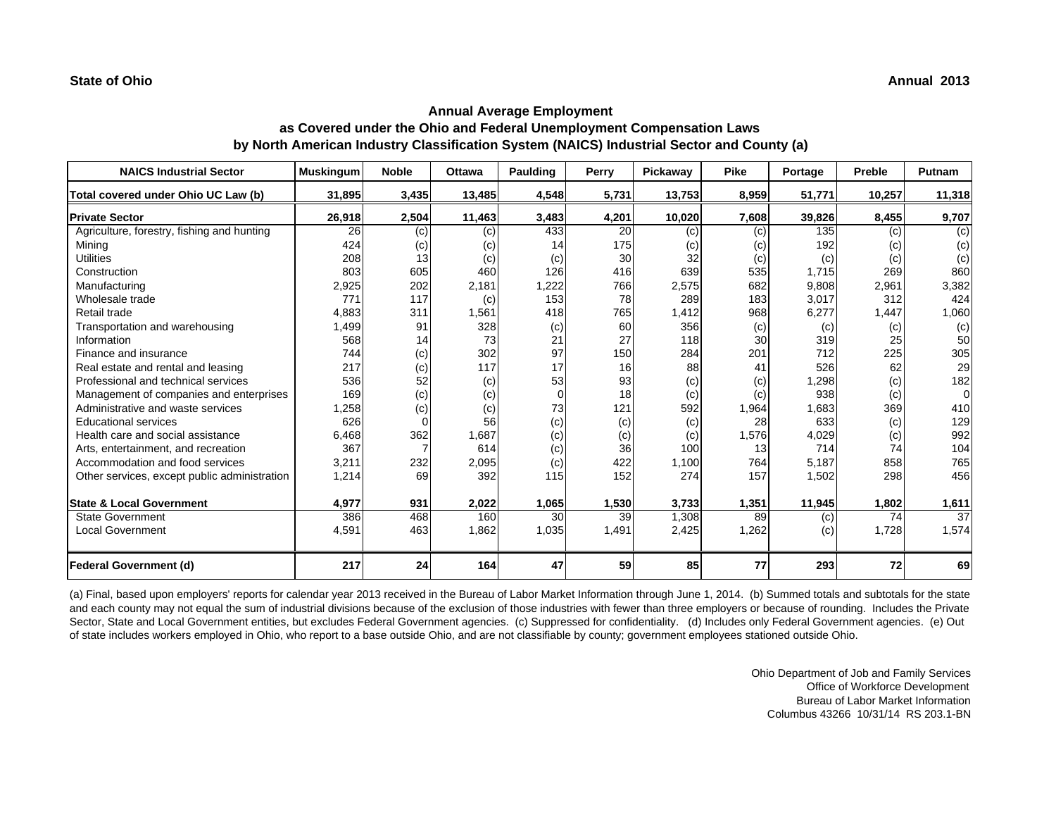| <b>NAICS Industrial Sector</b>               | <b>Muskingum</b> | <b>Noble</b> | <b>Ottawa</b> | Paulding       | Perry | Pickaway | <b>Pike</b> | Portage | Preble | Putnam   |
|----------------------------------------------|------------------|--------------|---------------|----------------|-------|----------|-------------|---------|--------|----------|
| Total covered under Ohio UC Law (b)          | 31,895           | 3,435        | 13,485        | 4,548          | 5,731 | 13,753   | 8,959       | 51,771  | 10,257 | 11,318   |
| <b>Private Sector</b>                        | 26,918           | 2,504        | 11,463        | 3,483          | 4,201 | 10,020   | 7,608       | 39,826  | 8,455  | 9,707    |
| Agriculture, forestry, fishing and hunting   | 26               | (c)          | (c)           | 433            | 20    | (c)      | (c)         | 135     | (c)    | (c)      |
| Mining                                       | 424              | (c)          | (c)           | 14             | 175   | (c)      | (c)         | 192     | (c)    | (c)      |
| <b>Utilities</b>                             | 208              | 13           | (c)           | (c)            | 30    | 32       | (c)         | (c)     | (c)    | (c)      |
| Construction                                 | 803              | 605          | 460           | 126            | 416   | 639      | 535         | 1,715   | 269    | 860      |
| Manufacturing                                | 2,925            | 202          | 2,181         | 1,222          | 766   | 2,575    | 682         | 9,808   | 2,961  | 3,382    |
| Wholesale trade                              | 771              | 117          | (c)           | 153            | 78    | 289      | 183         | 3,017   | 312    | 424      |
| Retail trade                                 | 4,883            | 311          | 1,561         | 418            | 765   | 1,412    | 968         | 6,277   | 1,447  | 1,060    |
| Transportation and warehousing               | 1,499            | 91           | 328           | (c)            | 60    | 356      | (c)         | (c)     | (c)    | (c)      |
| Information                                  | 568              | 14           | 73            | 21             | 27    | 118      | 30          | 319     | 25     | 50       |
| Finance and insurance                        | 744              | (c)          | 302           | 97             | 150   | 284      | 201         | 712     | 225    | 305      |
| Real estate and rental and leasing           | 217              | (c)          | 117           | 17             | 16    | 88       | 41          | 526     | 62     | 29       |
| Professional and technical services          | 536              | 52           | (c)           | 53             | 93    | (c)      | (c)         | ,298    | (c)    | 182      |
| Management of companies and enterprises      | 169              | (c)          | (c)           | $\overline{0}$ | 18    | (c)      | (c)         | 938     | (c)    | $\Omega$ |
| Administrative and waste services            | 1,258            | (c)          | (c)           | 73             | 121   | 592      | 1,964       | 1,683   | 369    | 410      |
| <b>Educational services</b>                  | 626              |              | 56            | (c)            | (c)   | (c)      | 28          | 633     | (c)    | 129      |
| Health care and social assistance            | 6,468            | 362          | 1,687         | (c)            | (c)   | (c)      | 1,576       | 4,029   | (c)    | 992      |
| Arts, entertainment, and recreation          | 367              |              | 614           | (c)            | 36    | 100      | 13          | 714     | 74     | 104      |
| Accommodation and food services              | 3,211            | 232          | 2,095         | (c)            | 422   | 1,100    | 764         | 5,187   | 858    | 765      |
| Other services, except public administration | 1,214            | 69           | 392           | 115            | 152   | 274      | 157         | 1,502   | 298    | 456      |
| <b>State &amp; Local Government</b>          | 4,977            | 931          | 2,022         | 1,065          | 1,530 | 3,733    | 1,351       | 11,945  | 1,802  | 1,611    |
| <b>State Government</b>                      | 386              | 468          | 160           | 30             | 39    | 1,308    | 89          | (c)     | 74     | 37       |
| Local Government                             | 4,591            | 463          | 1,862         | 1,035          | 1,491 | 2,425    | 1,262       | (c)     | 1,728  | 1,574    |
| <b>Federal Government (d)</b>                | 217              | 24           | 164           | 47             | 59    | 85       | 77          | 293     | 72     | 69       |

(a) Final, based upon employers' reports for calendar year 2013 received in the Bureau of Labor Market Information through June 1, 2014. (b) Summed totals and subtotals for the state and each county may not equal the sum of industrial divisions because of the exclusion of those industries with fewer than three employers or because of rounding. Includes the Private Sector, State and Local Government entities, but excludes Federal Government agencies. (c) Suppressed for confidentiality. (d) Includes only Federal Government agencies. (e) Out of state includes workers employed in Ohio, who report to a base outside Ohio, and are not classifiable by county; government employees stationed outside Ohio.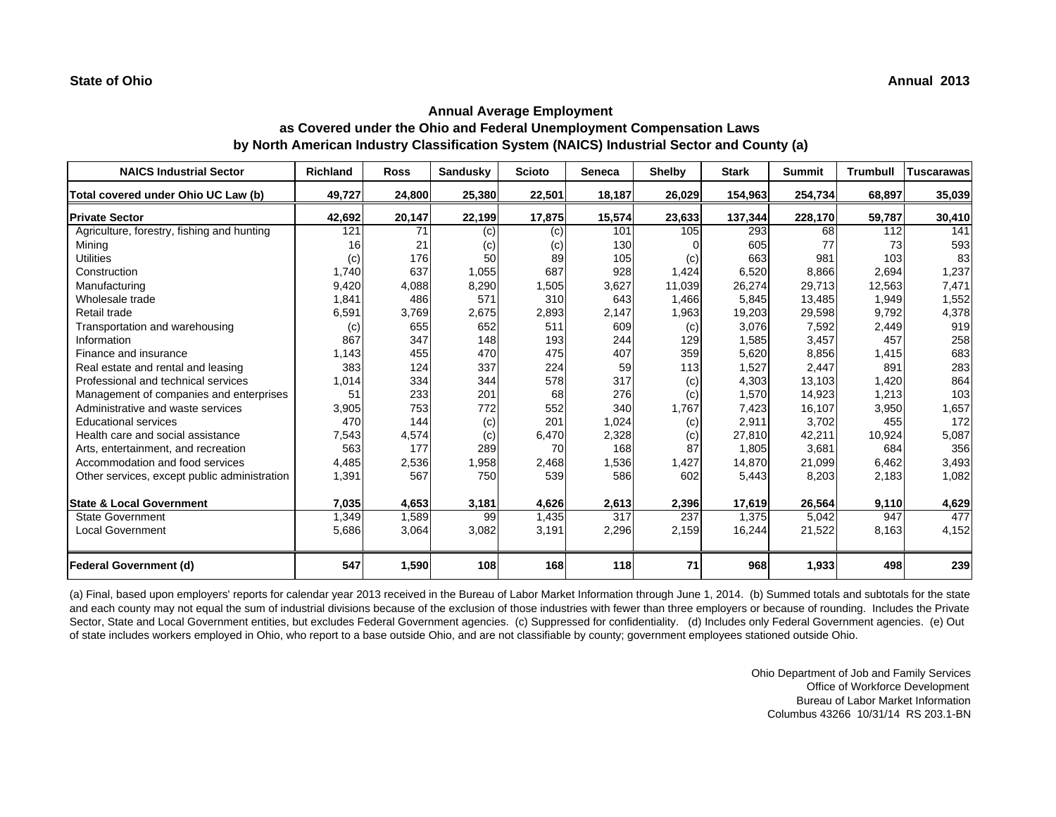| <b>NAICS Industrial Sector</b>               | <b>Richland</b> | <b>Ross</b> | <b>Sandusky</b> | <b>Scioto</b> | <b>Seneca</b> | <b>Shelby</b> | <b>Stark</b> | <b>Summit</b> | <b>Trumbull</b> | <b>Tuscarawas</b> |
|----------------------------------------------|-----------------|-------------|-----------------|---------------|---------------|---------------|--------------|---------------|-----------------|-------------------|
| Total covered under Ohio UC Law (b)          | 49,727          | 24,800      | 25,380          | 22,501        | 18,187        | 26,029        | 154,963      | 254,734       | 68,897          | 35,039            |
| <b>Private Sector</b>                        | 42,692          | 20,147      | 22,199          | 17,875        | 15,574        | 23,633        | 137,344      | 228,170       | 59,787          | 30,410            |
| Agriculture, forestry, fishing and hunting   | 121             | 71          | (c)             | (c)           | 101           | 105           | 293          | 68            | 112             | 141               |
| Mining                                       | 16              | 21          | (c)             | (c)           | 130           |               | 605          | 77            | 73              | 593               |
| <b>Utilities</b>                             | (c)             | 176         | 50              | 89            | 105           | (c)           | 663          | 981           | 103             | 83                |
| Construction                                 | 1,740           | 637         | 1,055           | 687           | 928           | 1,424         | 6,520        | 8,866         | 2,694           | 1,237             |
| Manufacturing                                | 9,420           | 4,088       | 8,290           | 1,505         | 3,627         | 11,039        | 26,274       | 29,713        | 12,563          | 7,471             |
| Wholesale trade                              | 1,841           | 486         | 571             | 310           | 643           | 1,466         | 5,845        | 13,485        | 1,949           | 1,552             |
| Retail trade                                 | 6,591           | 3,769       | 2,675           | 2,893         | 2,147         | 1,963         | 19,203       | 29,598        | 9,792           | 4,378             |
| Transportation and warehousing               | (c)             | 655         | 652             | 511           | 609           | (c)           | 3,076        | 7,592         | 2,449           | 919               |
| Information                                  | 867             | 347         | 148             | 193           | 244           | 129           | 1,585        | 3,457         | 457             | 258               |
| Finance and insurance                        | 1,143           | 455         | 470             | 475           | 407           | 359           | 5,620        | 8,856         | 1,415           | 683               |
| Real estate and rental and leasing           | 383             | 124         | 337             | 224           | 59            | 113           | 1,527        | 2,447         | 891             | 283               |
| Professional and technical services          | 1,014           | 334         | 344             | 578           | 317           | (c)           | 4,303        | 13,103        | 1,420           | 864               |
| Management of companies and enterprises      | 51              | 233         | 201             | 68            | 276           | (c)           | 1,570        | 14,923        | 1,213           | 103               |
| Administrative and waste services            | 3,905           | 753         | 772             | 552           | 340           | 1,767         | 7,423        | 16,107        | 3,950           | 1,657             |
| <b>Educational services</b>                  | 470             | 144         | (c)             | 201           | 1,024         | (c)           | 2,911        | 3,702         | 455             | 172               |
| Health care and social assistance            | 7,543           | 4,574       | (c)             | 6,470         | 2,328         | (c)           | 27,810       | 42,211        | 10,924          | 5,087             |
| Arts, entertainment, and recreation          | 563             | 177         | 289             | 70            | 168           | 87            | 1.805        | 3.681         | 684             | 356               |
| Accommodation and food services              | 4,485           | 2,536       | 1,958           | 2,468         | 1,536         | 1,427         | 14,870       | 21,099        | 6,462           | 3,493             |
| Other services, except public administration | 1,391           | 567         | 750             | 539           | 586           | 602           | 5,443        | 8,203         | 2,183           | 1,082             |
|                                              |                 |             |                 |               |               |               |              |               |                 |                   |
| <b>State &amp; Local Government</b>          | 7,035           | 4,653       | 3,181           | 4,626         | 2,613         | 2,396         | 17,619       | 26,564        | 9,110           | 4,629             |
| <b>State Government</b>                      | 1,349           | 1,589       | 99              | 1,435         | 317           | 237           | 1,375        | 5,042         | 947             | 477               |
| <b>Local Government</b>                      | 5,686           | 3,064       | 3,082           | 3,191         | 2,296         | 2,159         | 16,244       | 21,522        | 8,163           | 4,152             |
| <b>Federal Government (d)</b>                | 547             | 1,590       | 108             | 168           | 118           | 71            | 968          | 1,933         | 498             | 239               |

(a) Final, based upon employers' reports for calendar year 2013 received in the Bureau of Labor Market Information through June 1, 2014. (b) Summed totals and subtotals for the state and each county may not equal the sum of industrial divisions because of the exclusion of those industries with fewer than three employers or because of rounding. Includes the Private Sector, State and Local Government entities, but excludes Federal Government agencies. (c) Suppressed for confidentiality. (d) Includes only Federal Government agencies. (e) Out of state includes workers employed in Ohio, who report to a base outside Ohio, and are not classifiable by county; government employees stationed outside Ohio.